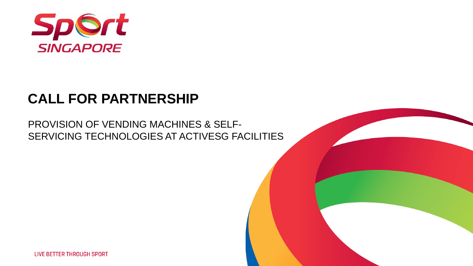

# **CALL FOR PARTNERSHIP**

## PROVISION OF VENDING MACHINES & SELF-SERVICING TECHNOLOGIES AT ACTIVESG FACILITIES

**LIVE BETTER THROUGH SPORT**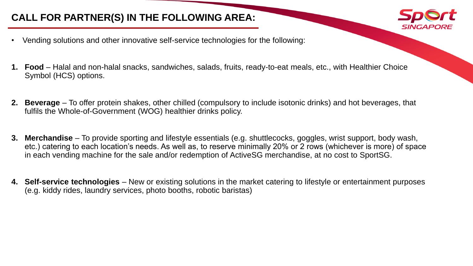### **CALL FOR PARTNER(S) IN THE FOLLOWING AREA:**



**1. Food** – Halal and non-halal snacks, sandwiches, salads, fruits, ready-to-eat meals, etc., with Healthier Choice Symbol (HCS) options.

SINGAPOR

- **2. Beverage** To offer protein shakes, other chilled (compulsory to include isotonic drinks) and hot beverages, that fulfils the Whole-of-Government (WOG) healthier drinks policy.
- **3. Merchandise** To provide sporting and lifestyle essentials (e.g. shuttlecocks, goggles, wrist support, body wash, etc.) catering to each location's needs. As well as, to reserve minimally 20% or 2 rows (whichever is more) of space in each vending machine for the sale and/or redemption of ActiveSG merchandise, at no cost to SportSG.
- **4. Self-service technologies**  New or existing solutions in the market catering to lifestyle or entertainment purposes (e.g. kiddy rides, laundry services, photo booths, robotic baristas)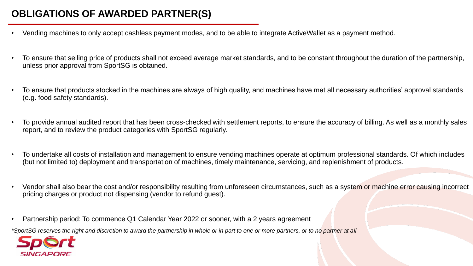### **OBLIGATIONS OF AWARDED PARTNER(S)**

- Vending machines to only accept cashless payment modes, and to be able to integrate ActiveWallet as a payment method.
- To ensure that selling price of products shall not exceed average market standards, and to be constant throughout the duration of the partnership, unless prior approval from SportSG is obtained.
- To ensure that products stocked in the machines are always of high quality, and machines have met all necessary authorities' approval standards (e.g. food safety standards).
- To provide annual audited report that has been cross-checked with settlement reports, to ensure the accuracy of billing. As well as a monthly sales report, and to review the product categories with SportSG regularly.
- To undertake all costs of installation and management to ensure vending machines operate at optimum professional standards. Of which includes (but not limited to) deployment and transportation of machines, timely maintenance, servicing, and replenishment of products.
- Vendor shall also bear the cost and/or responsibility resulting from unforeseen circumstances, such as a system or machine error causing incorrect pricing charges or product not dispensing (vendor to refund guest).
- Partnership period: To commence Q1 Calendar Year 2022 or sooner, with a 2 years agreement

*\*SportSG reserves the right and discretion to award the partnership in whole or in part to one or more partners, or to no partner at all*

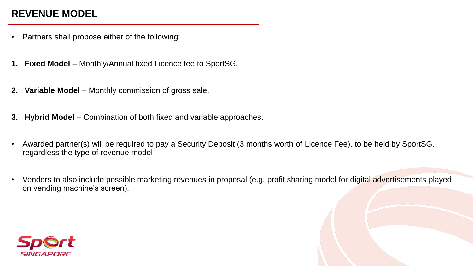### **REVENUE MODEL**

- Partners shall propose either of the following:
- **1. Fixed Model**  Monthly/Annual fixed Licence fee to SportSG.
- **2. Variable Model**  Monthly commission of gross sale.
- **3. Hybrid Model**  Combination of both fixed and variable approaches.
- Awarded partner(s) will be required to pay a Security Deposit (3 months worth of Licence Fee), to be held by SportSG, regardless the type of revenue model
- Vendors to also include possible marketing revenues in proposal (e.g. profit sharing model for digital advertisements played on vending machine's screen).

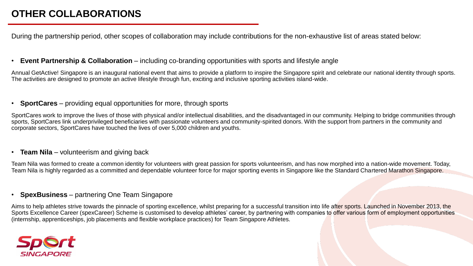During the partnership period, other scopes of collaboration may include contributions for the non-exhaustive list of areas stated below:

#### • **Event Partnership & Collaboration** – including co-branding opportunities with sports and lifestyle angle

Annual GetActive! Singapore is an inaugural national event that aims to provide a platform to inspire the Singapore spirit and celebrate our national identity through sports. The activities are designed to promote an active lifestyle through fun, exciting and inclusive sporting activities island-wide.

#### • **SportCares** – providing equal opportunities for more, through sports

SportCares work to improve the lives of those with physical and/or intellectual disabilities, and the disadvantaged in our community. Helping to bridge communities through sports, SportCares link underprivileged beneficiaries with passionate volunteers and community-spirited donors. With the support from partners in the community and corporate sectors, SportCares have touched the lives of over 5,000 children and youths.

#### • **Team Nila** – volunteerism and giving back

Team Nila was formed to create a common identity for volunteers with great passion for sports volunteerism, and has now morphed into a nation-wide movement. Today, Team Nila is highly regarded as a committed and dependable volunteer force for major sporting events in Singapore like the Standard Chartered Marathon Singapore.

#### • **SpexBusiness** – partnering One Team Singapore

Aims to help athletes strive towards the pinnacle of sporting excellence, whilst preparing for a successful transition into life after sports. Launched in November 2013, the Sports Excellence Career (spexCareer) Scheme is customised to develop athletes' career, by partnering with companies to offer various form of employment opportunities (internship, apprenticeships, job placements and flexible workplace practices) for Team Singapore Athletes.

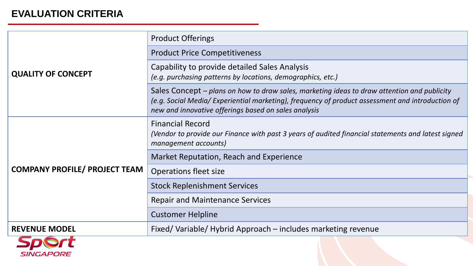### **EVALUATION CRITERIA**

| <b>QUALITY OF CONCEPT</b>            | <b>Product Offerings</b>                                                                                                                                                                                                                                |
|--------------------------------------|---------------------------------------------------------------------------------------------------------------------------------------------------------------------------------------------------------------------------------------------------------|
|                                      | <b>Product Price Competitiveness</b>                                                                                                                                                                                                                    |
|                                      | Capability to provide detailed Sales Analysis<br>(e.g. purchasing patterns by locations, demographics, etc.)                                                                                                                                            |
|                                      | Sales Concept – plans on how to draw sales, marketing ideas to draw attention and publicity<br>(e.g. Social Media/ Experiential marketing), frequency of product assessment and introduction of<br>new and innovative offerings based on sales analysis |
| <b>COMPANY PROFILE/ PROJECT TEAM</b> | <b>Financial Record</b><br>(Vendor to provide our Finance with past 3 years of audited financial statements and latest signed<br>management accounts)                                                                                                   |
|                                      | Market Reputation, Reach and Experience                                                                                                                                                                                                                 |
|                                      | Operations fleet size                                                                                                                                                                                                                                   |
|                                      | <b>Stock Replenishment Services</b>                                                                                                                                                                                                                     |
|                                      | <b>Repair and Maintenance Services</b>                                                                                                                                                                                                                  |
|                                      | <b>Customer Helpline</b>                                                                                                                                                                                                                                |
| <b>REVENUE MODEL</b>                 | Fixed/Variable/Hybrid Approach – includes marketing revenue                                                                                                                                                                                             |
| SINGAPORE                            |                                                                                                                                                                                                                                                         |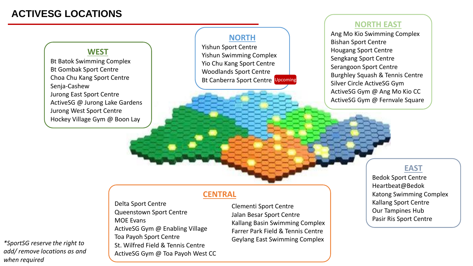### **ACTIVESG LOCATIONS**



#### **NORTH EAST**

Ang Mo Kio Swimming Complex Bishan Sport Centre Hougang Sport Centre Sengkang Sport Centre Serangoon Sport Centre Burghley Squash & Tennis Centre Silver Circle ActiveSG Gym ActiveSG Gym @ Ang Mo Kio CC ActiveSG Gym @ Fernvale Square

### **EAST**

Bedok Sport Centre Heartbeat@Bedok Katong Swimming Complex Kallang Sport Centre Our Tampines Hub Pasir Ris Sport Centre

*\*SportSG reserve the right to add/ remove locations as and when required*

#### **CENTRAL**

Delta Sport Centre Queenstown Sport Centre MOE Evans ActiveSG Gym @ Enabling Village Toa Payoh Sport Centre St. Wilfred Field & Tennis Centre ActiveSG Gym @ Toa Payoh West CC Clementi Sport Centre Jalan Besar Sport Centre Kallang Basin Swimming Complex Farrer Park Field & Tennis Centre Geylang East Swimming Complex